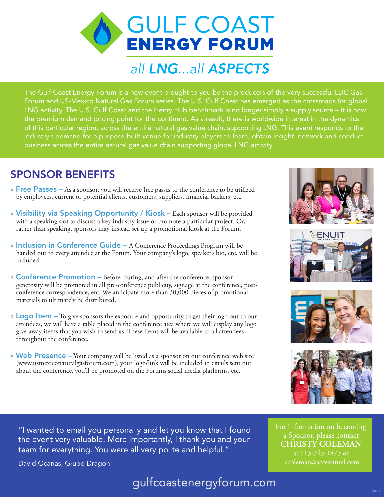**GULF COAST ENERGY FORUM** 

# all LNG...all ASPECTS

The Gulf Coast Energy Forum is a new event brought to you by the producers of the very successful LDC Gas Forum and US-Mexico Natural Gas Forum series. The U.S. Gulf Coast has emerged as the crossroads for global LNG activity. The U.S. Gulf Coast and the Henry Hub benchmark is no longer simply a supply source – it is now the premium demand pricing point for the continent. As a result, there is worldwide interest in the dynamics of this particular region, across the entire natural gas value chain, supporting LNG. This event responds to the industry's demand for a purpose-built venue for industry players to learn, obtain insight, network and conduct business across the entire natural gas value chain supporting global LNG activity.

### SPONSOR BENEFITS

- $\triangleright$  Free Passes As a sponsor, you will receive free passes to the conference to be utilized by employees, current or potential clients, customers, suppliers, financial backers, etc.
- » Visibility via Speaking Opportunity / Kiosk Each sponsor will be provided with a speaking slot to discuss a key industry issue or promote a particular project. Or, rather than speaking, sponsors may instead set up a promotional kiosk at the Forum.
- » Inclusion in Conference Guide A Conference Proceedings Program will be handed out to every attendee at the Forum. Your company's logo, speaker's bio, etc. will be included.
- » **Conference Promotion** Before, during, and after the conference, sponsor generosity will be promoted in all pre-conference publicity, signage at the conference, postconference correspondence, etc. We anticipate more than 30,000 pieces of promotional materials to ultimately be distributed.
- » Logo Item To give sponsors the exposure and opportunity to get their logo out to our attendees, we will have a table placed in the conference area where we will display any logo give-away items that you wish to send us. These items will be available to all attendees throughout the conference.
- » Web Presence Your company will be listed as a sponsor on our conference web site (www.usmexiconaturalgasforum.com), your logo/link will be included in emails sent out about the conference, you'll be promoted on the Forums social media platforms, etc.









For information on becoming a Sponsor, please contact **CHRISTY COLEMAN**  at 713-343-1873 or ccoleman@accessintel.com

"I wanted to email you personally and let you know that I found the event very valuable. More importantly, I thank you and your team for everything. You were all very polite and helpful."

David Ocanas, Grupo Dragon

### gulfcoastenergyforum.com